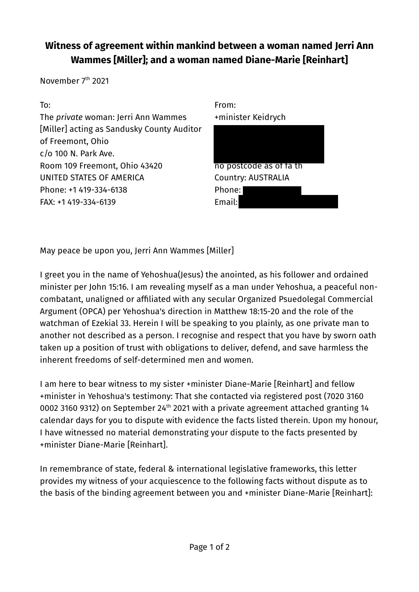## **Witness of agreement within mankind between a woman named Jerri Ann Wammes [Miller]; and a woman named Diane-Marie [Reinhart]**

November 7<sup>th</sup> 2021



May peace be upon you, Jerri Ann Wammes [Miller]

I greet you in the name of Yehoshua(Jesus) the anointed, as his follower and ordained minister per John 15:16. I am revealing myself as a man under Yehoshua, a peaceful noncombatant, unaligned or affiliated with any secular Organized Psuedolegal Commercial Argument (OPCA) per Yehoshua's direction in Matthew 18:15-20 and the role of the watchman of Ezekial 33. Herein I will be speaking to you plainly, as one private man to another not described as a person. I recognise and respect that you have by sworn oath taken up a position of trust with obligations to deliver, defend, and save harmless the inherent freedoms of self-determined men and women.

I am here to bear witness to my sister +minister Diane-Marie [Reinhart] and fellow +minister in Yehoshua's testimony: That she contacted via registered post (7020 3160 0002 3160 9312) on September 24<sup>th</sup> 2021 with a private agreement attached granting 14 calendar days for you to dispute with evidence the facts listed therein. Upon my honour, I have witnessed no material demonstrating your dispute to the facts presented by +minister Diane-Marie [Reinhart].

In remembrance of state, federal & international legislative frameworks, this letter provides my witness of your acquiescence to the following facts without dispute as to the basis of the binding agreement between you and +minister Diane-Marie [Reinhart]: